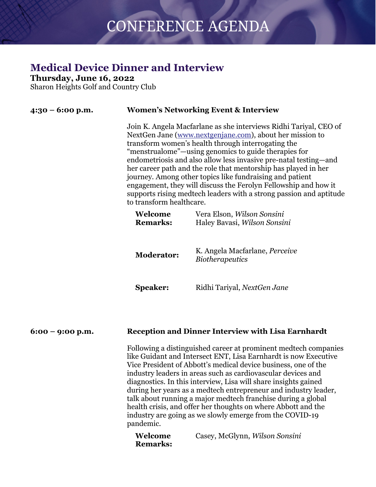### **Medical Device Dinner and Interview**

**Thursday, June 16, 2022**

Sharon Heights Golf and Country Club

| 4:30 – 6:00 p.m. |                            | <b>Women's Networking Event &amp; Interview</b>                                                                                                                                                                                                                                                                                                                                                                                                                                                                                                                                                         |  |
|------------------|----------------------------|---------------------------------------------------------------------------------------------------------------------------------------------------------------------------------------------------------------------------------------------------------------------------------------------------------------------------------------------------------------------------------------------------------------------------------------------------------------------------------------------------------------------------------------------------------------------------------------------------------|--|
|                  | to transform healthcare.   | Join K. Angela Macfarlane as she interviews Ridhi Tariyal, CEO of<br>NextGen Jane (www.nextgenjane.com), about her mission to<br>transform women's health through interrogating the<br>"menstrualome"—using genomics to guide therapies for<br>endometriosis and also allow less invasive pre-natal testing—and<br>her career path and the role that mentorship has played in her<br>journey. Among other topics like fundraising and patient<br>engagement, they will discuss the Ferolyn Fellowship and how it<br>supports rising medtech leaders with a strong passion and aptitude                  |  |
|                  | Welcome<br><b>Remarks:</b> | Vera Elson, Wilson Sonsini<br>Haley Bavasi, Wilson Sonsini                                                                                                                                                                                                                                                                                                                                                                                                                                                                                                                                              |  |
|                  | <b>Moderator:</b>          | K. Angela Macfarlane, <i>Perceive</i><br><i>Biotherapeutics</i>                                                                                                                                                                                                                                                                                                                                                                                                                                                                                                                                         |  |
|                  | <b>Speaker:</b>            | Ridhi Tariyal, NextGen Jane                                                                                                                                                                                                                                                                                                                                                                                                                                                                                                                                                                             |  |
| 6:00 – 9:00 p.m. |                            | <b>Reception and Dinner Interview with Lisa Earnhardt</b>                                                                                                                                                                                                                                                                                                                                                                                                                                                                                                                                               |  |
|                  | pandemic.                  | Following a distinguished career at prominent medtech companies<br>like Guidant and Intersect ENT, Lisa Earnhardt is now Executive<br>Vice President of Abbott's medical device business, one of the<br>industry leaders in areas such as cardiovascular devices and<br>diagnostics. In this interview, Lisa will share insights gained<br>during her years as a medtech entrepreneur and industry leader,<br>talk about running a major medtech franchise during a global<br>health crisis, and offer her thoughts on where Abbott and the<br>industry are going as we slowly emerge from the COVID-19 |  |
|                  | Welcome                    | Casey, McGlynn, Wilson Sonsini                                                                                                                                                                                                                                                                                                                                                                                                                                                                                                                                                                          |  |

| Welcome         | Casey, |
|-----------------|--------|
| <b>Remarks:</b> |        |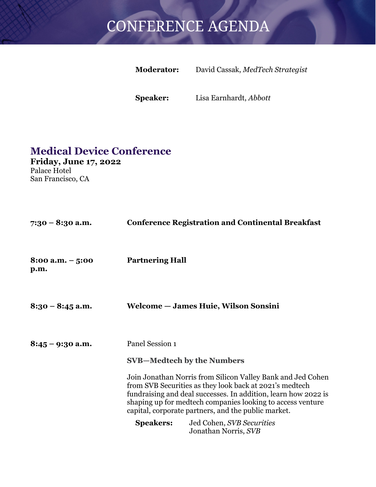| <b>Moderator:</b> | David Cassak, MedTech Strategist |
|-------------------|----------------------------------|
|                   |                                  |

**Speaker:** Lisa Earnhardt, *Abbott*

### **Medical Device Conference**

**Friday, June 17, 2022** Palace Hotel San Francisco, CA

| 7:30 – 8:30 a.m.          |                        | <b>Conference Registration and Continental Breakfast</b>                                                                                                                                                                                                                                                      |
|---------------------------|------------------------|---------------------------------------------------------------------------------------------------------------------------------------------------------------------------------------------------------------------------------------------------------------------------------------------------------------|
| 8:00 a.m. $-5:00$<br>p.m. | <b>Partnering Hall</b> |                                                                                                                                                                                                                                                                                                               |
| $8:30 - 8:45$ a.m.        |                        | Welcome - James Huie, Wilson Sonsini                                                                                                                                                                                                                                                                          |
| $8:45 - 9:30$ a.m.        | Panel Session 1        |                                                                                                                                                                                                                                                                                                               |
|                           |                        | <b>SVB—Medtech by the Numbers</b>                                                                                                                                                                                                                                                                             |
|                           |                        | Join Jonathan Norris from Silicon Valley Bank and Jed Cohen<br>from SVB Securities as they look back at 2021's medtech<br>fundraising and deal successes. In addition, learn how 2022 is<br>shaping up for medtech companies looking to access venture<br>capital, corporate partners, and the public market. |
|                           | <b>Speakers:</b>       | Jed Cohen, SVB Securities<br>Jonathan Norris, SVB                                                                                                                                                                                                                                                             |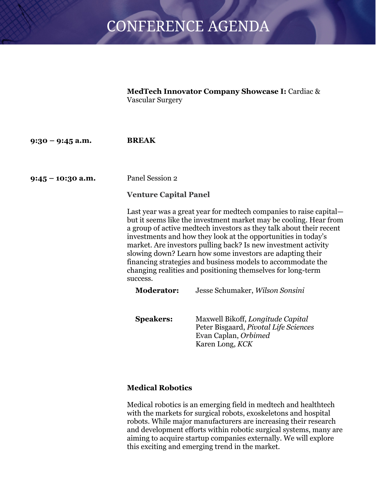**MedTech Innovator Company Showcase I:** Cardiac & Vascular Surgery

**9:30 – 9:45 a.m. BREAK**

**9:45 – 10:30 a.m.** Panel Session 2

#### **Venture Capital Panel**

Last year was a great year for medtech companies to raise capital but it seems like the investment market may be cooling. Hear from a group of active medtech investors as they talk about their recent investments and how they look at the opportunities in today's market. Are investors pulling back? Is new investment activity slowing down? Learn how some investors are adapting their financing strategies and business models to accommodate the changing realities and positioning themselves for long-term success.

| <b>Moderator:</b> | Jesse Schumaker, Wilson Sonsini                                                                                       |
|-------------------|-----------------------------------------------------------------------------------------------------------------------|
|                   |                                                                                                                       |
| <b>Speakers:</b>  | Maxwell Bikoff, Longitude Capital<br>Peter Bisgaard, Pivotal Life Sciences<br>Evan Caplan, Orbimed<br>Karen Long, KCK |

#### **Medical Robotics**

Medical robotics is an emerging field in medtech and healthtech with the markets for surgical robots, exoskeletons and hospital robots. While major manufacturers are increasing their research and development efforts within robotic surgical systems, many are aiming to acquire startup companies externally. We will explore this exciting and emerging trend in the market.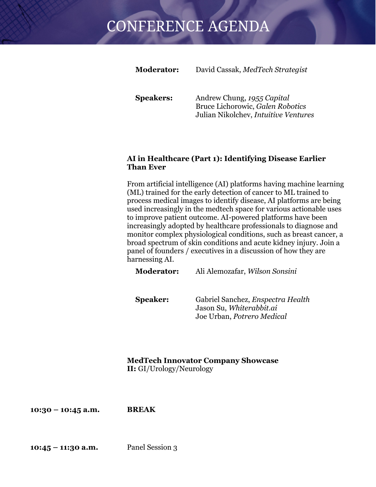| <b>Moderator:</b> | David Cassak, MedTech Strategist                                                                       |
|-------------------|--------------------------------------------------------------------------------------------------------|
| <b>Speakers:</b>  | Andrew Chung, 1955 Capital<br>Bruce Lichorowic, Galen Robotics<br>Julian Nikolchev, Intuitive Ventures |

#### **AI in Healthcare (Part 1): Identifying Disease Earlier Than Ever**

From artificial intelligence (AI) platforms having machine learning (ML) trained for the early detection of cancer to ML trained to process medical images to identify disease, AI platforms are being used increasingly in the medtech space for various actionable uses to improve patient outcome. AI-powered platforms have been increasingly adopted by healthcare professionals to diagnose and monitor complex physiological conditions, such as breast cancer, a broad spectrum of skin conditions and acute kidney injury. Join a panel of founders / executives in a discussion of how they are harnessing AI.

**Moderator:** Ali Alemozafar, *Wilson Sonsini*

**Speaker:** Gabriel Sanchez, *Enspectra Health* Jason Su, *Whiterabbit.ai* Joe Urban, *Potrero Medical*

**MedTech Innovator Company Showcase II:** GI/Urology/Neurology

**10:30 – 10:45 a.m. BREAK**

**10:45 – 11:30 a.m.** Panel Session 3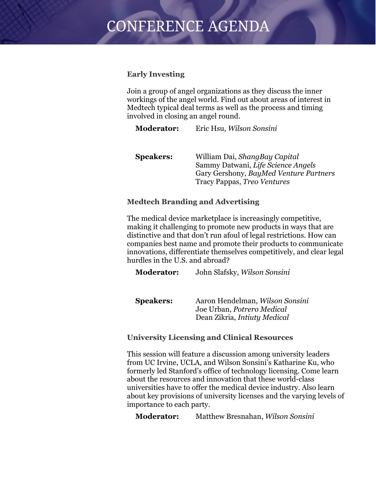#### **Early Investing**

Join a group of angel organizations as they discuss the inner workings of the angel world. Find out about areas of interest in Medtech typical deal terms as well as the process and timing involved in closing an angel round.

**Moderator:** Eric Hsu, *Wilson Sonsini*

| William Dai, ShangBay Capital          |
|----------------------------------------|
| Sammy Datwani, Life Science Angels     |
| Gary Gershony, BayMed Venture Partners |
| Tracy Pappas, <i>Treo Ventures</i>     |
|                                        |

#### **Medtech Branding and Advertising**

The medical device marketplace is increasingly competitive, making it challenging to promote new products in ways that are distinctive and that don't run afoul of legal restrictions. How can companies best name and promote their products to communicate innovations, differentiate themselves competitively, and clear legal hurdles in the U.S. and abroad?

**Moderator:** John Slafsky, *Wilson Sonsini*

**Speakers:** Aaron Hendelman, *Wilson Sonsini* Joe Urban, *Potrero Medical* Dean Zikria, *Intiuty Medical*

#### **University Licensing and Clinical Resources**

This session will feature a discussion among university leaders from UC Irvine, UCLA, and Wilson Sonsini's Katharine Ku, who formerly led Stanford's office of technology licensing. Come learn about the resources and innovation that these world-class universities have to offer the medical device industry. Also learn about key provisions of university licenses and the varying levels of importance to each party.

**Moderator:** Matthew Bresnahan, *Wilson Sonsini*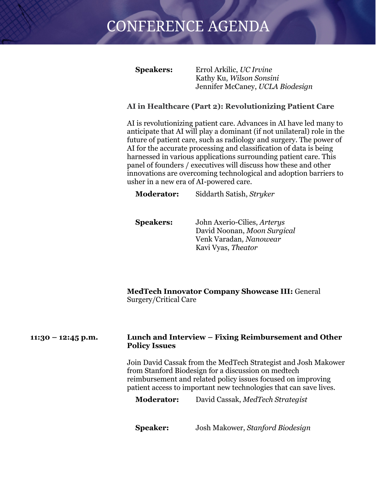**Speakers:** Errol Arkilic, *UC Irvine* Kathy Ku, *Wilson Sonsini* Jennifer McCaney, *UCLA Biodesign*

#### **AI in Healthcare (Part 2): Revolutionizing Patient Care**

AI is revolutionizing patient care. Advances in AI have led many to anticipate that AI will play a dominant (if not unilateral) role in the future of patient care, such as radiology and surgery. The power of AI for the accurate processing and classification of data is being harnessed in various applications surrounding patient care. This panel of founders / executives will discuss how these and other innovations are overcoming technological and adoption barriers to usher in a new era of AI-powered care.

**Moderator:** Siddarth Satish, *Stryker*

**Speakers:** John Axerio-Cilies, *Arterys* David Noonan, *Moon Surgical* Venk Varadan*, Nanowear* Kavi Vyas, *Theator*

**MedTech Innovator Company Showcase III:** General Surgery/Critical Care

#### **11:30 – 12:45 p.m. Lunch and Interview – Fixing Reimbursement and Other Policy Issues**

Join David Cassak from the MedTech Strategist and Josh Makower from Stanford Biodesign for a discussion on medtech reimbursement and related policy issues focused on improving patient access to important new technologies that can save lives.

**Moderator:** David Cassak, *MedTech Strategist*

**Speaker:** Josh Makower, *Stanford Biodesign*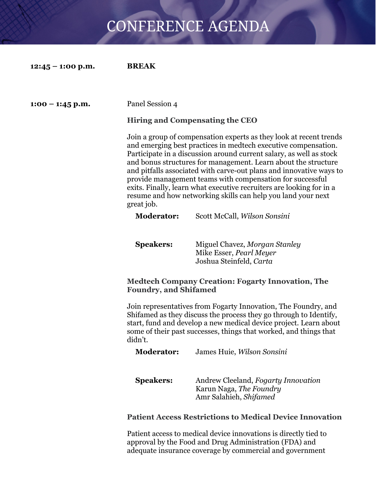| $12:45 - 1:00$ p.m. | <b>BREAK</b> |
|---------------------|--------------|
|---------------------|--------------|

#### **1:00 – 1:45 p.m.** Panel Session 4

#### **Hiring and Compensating the CEO**

Join a group of compensation experts as they look at recent trends and emerging best practices in medtech executive compensation. Participate in a discussion around current salary, as well as stock and bonus structures for management. Learn about the structure and pitfalls associated with carve-out plans and innovative ways to provide management teams with compensation for successful exits. Finally, learn what executive recruiters are looking for in a resume and how networking skills can help you land your next great job.

#### **Moderator:** Scott McCall, *Wilson Sonsini*

**Speakers:** Miguel Chavez, *Morgan Stanley* Mike Esser, *Pearl Meyer* Joshua Steinfeld, *Carta*

#### **Medtech Company Creation: Fogarty Innovation, The Foundry, and Shifamed**

Join representatives from Fogarty Innovation, The Foundry, and Shifamed as they discuss the process they go through to Identify, start, fund and develop a new medical device project. Learn about some of their past successes, things that worked, and things that didn't.

**Moderator:** James Huie, *Wilson Sonsini*

| <b>Speakers:</b> | Andrew Cleeland, Fogarty Innovation |
|------------------|-------------------------------------|
|                  | Karun Naga, The Foundry             |
|                  | Amr Salahieh, Shifamed              |

#### **Patient Access Restrictions to Medical Device Innovation**

Patient access to medical device innovations is directly tied to approval by the Food and Drug Administration (FDA) and adequate insurance coverage by commercial and government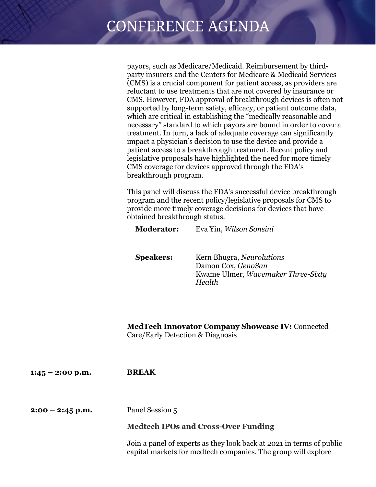payors, such as Medicare/Medicaid. Reimbursement by thirdparty insurers and the Centers for Medicare & Medicaid Services (CMS) is a crucial component for patient access, as providers are reluctant to use treatments that are not covered by insurance or CMS. However, FDA approval of breakthrough devices is often not supported by long-term safety, efficacy, or patient outcome data, which are critical in establishing the "medically reasonable and necessary" standard to which payors are bound in order to cover a treatment. In turn, a lack of adequate coverage can significantly impact a physician's decision to use the device and provide a patient access to a breakthrough treatment. Recent policy and legislative proposals have highlighted the need for more timely CMS coverage for devices approved through the FDA's breakthrough program.

This panel will discuss the FDA's successful device breakthrough program and the recent policy/legislative proposals for CMS to provide more timely coverage decisions for devices that have obtained breakthrough status.

**Moderator:** Eva Yin, *Wilson Sonsini*

**Speakers:** Kern Bhugra, *Neurolutions* Damon Cox, *GenoSan* Kwame Ulmer, *Wavemaker Three-Sixty Health*

**MedTech Innovator Company Showcase IV:** Connected Care/Early Detection & Diagnosis

| $1:45 - 2:00$ p.m. | <b>BREAK</b>                                                                                                                          |
|--------------------|---------------------------------------------------------------------------------------------------------------------------------------|
| $2:00 - 2:45$ p.m. | Panel Session 5                                                                                                                       |
|                    | <b>Medtech IPOs and Cross-Over Funding</b>                                                                                            |
|                    | Join a panel of experts as they look back at 2021 in terms of public<br>capital markets for medtech companies. The group will explore |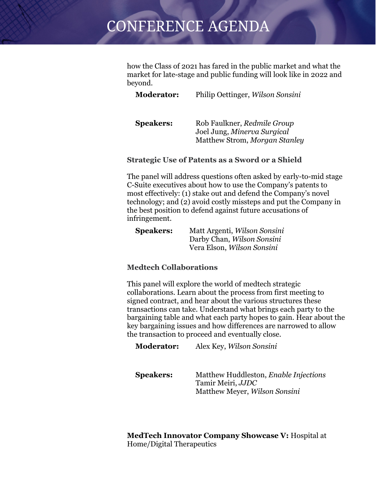how the Class of 2021 has fared in the public market and what the market for late-stage and public funding will look like in 2022 and beyond.

**Moderator:** Philip Oettinger, *Wilson Sonsini*

**Speakers:** Rob Faulkner, *Redmile Group* Joel Jung, *Minerva Surgical* Matthew Strom, *Morgan Stanley*

#### **Strategic Use of Patents as a Sword or a Shield**

The panel will address questions often asked by early-to-mid stage C-Suite executives about how to use the Company's patents to most effectively: (1) stake out and defend the Company's novel technology; and (2) avoid costly missteps and put the Company in the best position to defend against future accusations of infringement.

| <b>Speakers:</b> | Matt Argenti, Wilson Sonsini |
|------------------|------------------------------|
|                  | Darby Chan, Wilson Sonsini   |
|                  | Vera Elson, Wilson Sonsini   |

#### **Medtech Collaborations**

This panel will explore the world of medtech strategic collaborations. Learn about the process from first meeting to signed contract, and hear about the various structures these transactions can take. Understand what brings each party to the bargaining table and what each party hopes to gain. Hear about the key bargaining issues and how differences are narrowed to allow the transaction to proceed and eventually close.

**Moderator:** Alex Key, *Wilson Sonsini*

**Speakers:** Matthew Huddleston, *Enable Injections* Tamir Meiri, *JJDC* Matthew Meyer, *Wilson Sonsini*

**MedTech Innovator Company Showcase V:** Hospital at Home/Digital Therapeutics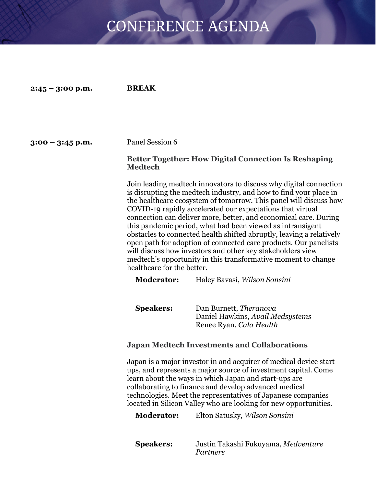**2:45 – 3:00 p.m. BREAK**

#### **3:00 – 3:45 p.m.** Panel Session 6

#### **Better Together: How Digital Connection Is Reshaping Medtech**

Join leading medtech innovators to discuss why digital connection is disrupting the medtech industry, and how to find your place in the healthcare ecosystem of tomorrow. This panel will discuss how COVID-19 rapidly accelerated our expectations that virtual connection can deliver more, better, and economical care. During this pandemic period, what had been viewed as intransigent obstacles to connected health shifted abruptly, leaving a relatively open path for adoption of connected care products. Our panelists will discuss how investors and other key stakeholders view medtech's opportunity in this transformative moment to change healthcare for the better.

**Moderator:** Haley Bavasi, *Wilson Sonsini*

**Speakers:** Dan Burnett, *Theranova* Daniel Hawkins, *Avail Medsystems* Renee Ryan, *Cala Health*

#### **Japan Medtech Investments and Collaborations**

Japan is a major investor in and acquirer of medical device startups, and represents a major source of investment capital. Come learn about the ways in which Japan and start-ups are collaborating to finance and develop advanced medical technologies. Meet the representatives of Japanese companies located in Silicon Valley who are looking for new opportunities.

**Moderator:** Elton Satusky, *Wilson Sonsini*

**Speakers:** Justin Takashi Fukuyama, *Medventure Partners*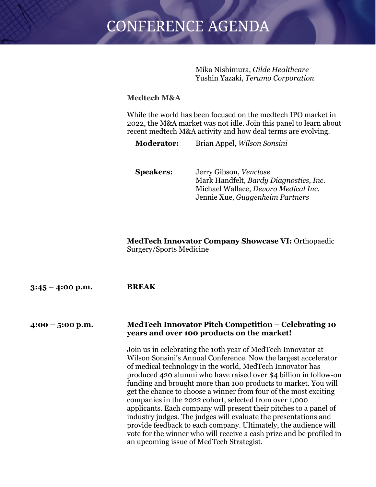Mika Nishimura, *Gilde Healthcare* Yushin Yazaki, *Terumo Corporation*

#### **Medtech M&A**

While the world has been focused on the medtech IPO market in 2022, the M&A market was not idle. Join this panel to learn about recent medtech M&A activity and how deal terms are evolving.

**Moderator:** Brian Appel, *Wilson Sonsini*

**Speakers:** Jerry Gibson, *Venclose* Mark Handfelt, *Bardy Diagnostics, Inc.* Michael Wallace, *Devoro Medical Inc.* Jennie Xue, *Guggenheim Partners*

**MedTech Innovator Company Showcase VI:** Orthopaedic Surgery/Sports Medicine

| $3:45 - 4:00$ p.m. | <b>BREAK</b>                                                                                                                                                                                                                                                                                                                                                                                                                                                                                                                                                                                                                                                                                                                                                                                     |
|--------------------|--------------------------------------------------------------------------------------------------------------------------------------------------------------------------------------------------------------------------------------------------------------------------------------------------------------------------------------------------------------------------------------------------------------------------------------------------------------------------------------------------------------------------------------------------------------------------------------------------------------------------------------------------------------------------------------------------------------------------------------------------------------------------------------------------|
| $4:00 - 5:00$ p.m. | MedTech Innovator Pitch Competition – Celebrating 10<br>years and over 100 products on the market!                                                                                                                                                                                                                                                                                                                                                                                                                                                                                                                                                                                                                                                                                               |
|                    | Join us in celebrating the 10th year of MedTech Innovator at<br>Wilson Sonsini's Annual Conference. Now the largest accelerator<br>of medical technology in the world, MedTech Innovator has<br>produced 420 alumni who have raised over \$4 billion in follow-on<br>funding and brought more than 100 products to market. You will<br>get the chance to choose a winner from four of the most exciting<br>companies in the 2022 cohort, selected from over 1,000<br>applicants. Each company will present their pitches to a panel of<br>industry judges. The judges will evaluate the presentations and<br>provide feedback to each company. Ultimately, the audience will<br>vote for the winner who will receive a cash prize and be profiled in<br>an upcoming issue of MedTech Strategist. |